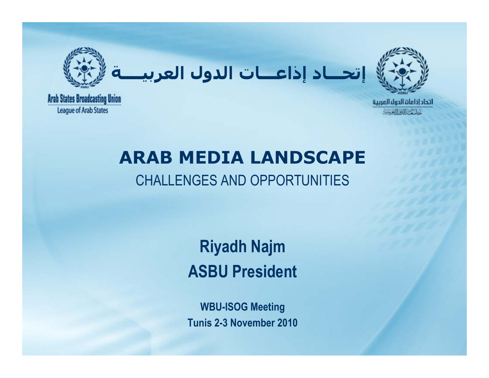

**إتحـــاد إذاعـــات الدول العربيــــة**



**Arab States Broadcasting Union League of Arab States** 

# **ARAB MEDIA LANDSCAPE**

## CHALLENGES AND OPPORTUNITIES

## **Riyadh Najm ASBU President**

**WBU-ISOG Meeting Tunis 2-3 November 2010**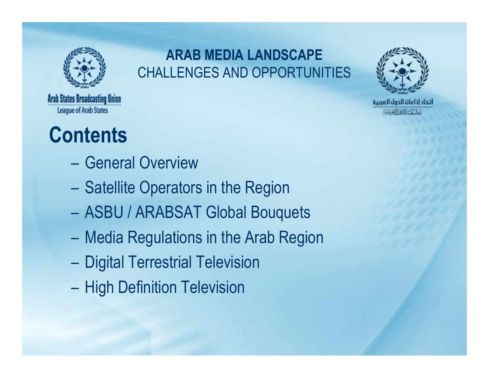

## **ARAB MEDIA LANDSCAPE** CHALLENGES AND OPPORTUNITIES



※ 別流 形に

**Arab States Broadcasting Union League of Arab States** 

## **Contents**

- General Overview
- Satellite Operators in the Region
- ASBU / ARABSAT Global Bouquets
- Media Regulations in the Arab Region
- $\mathcal{L}_{\mathcal{A}}$ Digital Terrestrial Television
- $\mathcal{L}_{\mathcal{A}}$ High Definition Television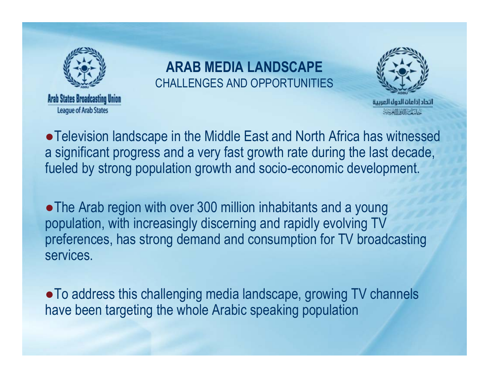

**League of Arab States** 

### **ARAB MEDIA LANDSCAPE** CHALLENGES AND OPPORTUNITIES



●Television landscape in the Middle East and North Africa has witnessed a significant progress and a very fast growth rate during the last decade, fueled by strong population growth and socio-economic development.

• The Arab region with over 300 million inhabitants and a young population, with increasingly discerning and rapidly evolving TV preferences, has strong demand and consumption for TV broadcasting services.

●To address this challenging media landscape, growing TV channels have been targeting the whole Arabic speaking population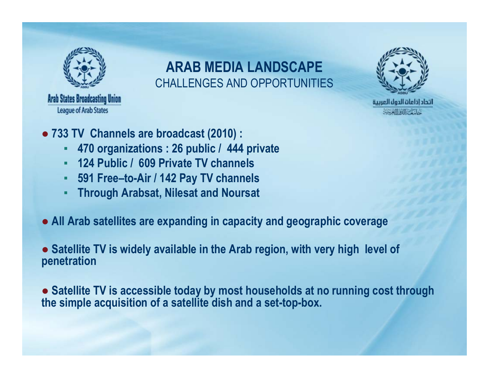

**Arab States Broadcasting Union** 

**League of Arab States** 

**ARAB MEDIA LANDSCAPE**CHALLENGES AND OPPORTUNITIES



受訓練医学

- **733 TV Channels are broadcast (2010) :**
	- **470 organizations : 26 public / 444 private**
	- **124 Public / 609 Private TV channels**
	- **591 Free–to-Air / 142 Pay TV channels**
	- **Through Arabsat, Nilesat and Noursat**
- **All Arab satellites are expanding in capacity and geographic coverage**

● **Satellite TV is widely available in the Arab region, with very high level of penetration** 

● **Satellite TV is accessible today by most households at no running cost through the simple acquisition of a satellite dish and a set-top-box.**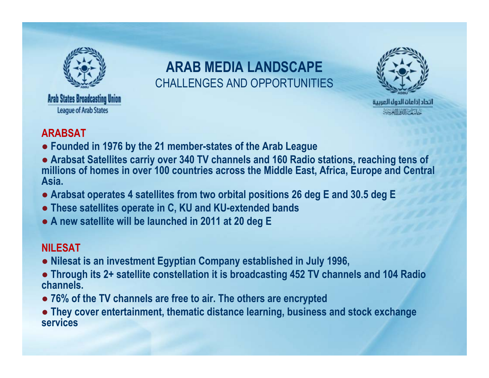

## **ARAB MEDIA LANDSCAPE**CHALLENGES AND OPPORTUNITIES



#### **ARABSAT**

- **Founded in 1976 by the 21 member-states of the Arab League**
- **Arabsat Satellites carriy over 340 TV channels and 160 Radio stations, reaching tens of millions of homes in over 100 countries across the Middle East, Africa, Europe and Central Asia.**
- **Arabsat operates 4 satellites from two orbital positions 26 deg E and 30.5 deg E**
- **These satellites operate in C, KU and KU-extended bands**
- **A new satellite will be launched in 2011 at 20 deg E**

#### **NILESAT**

- **Nilesat is an investment Egyptian Company established in July 1996,**
- **Through its 2+ satellite constellation it is broadcasting 452 TV channels and 104 Radio channels.**
- **76% of the TV channels are free to air. The others are encrypted**
- **They cover entertainment, thematic distance learning, business and stock exchange services**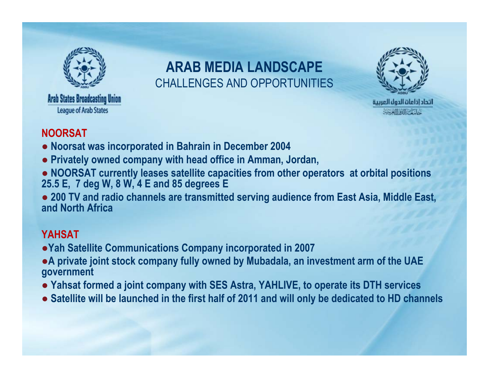

## **ARAB MEDIA LANDSCAPE**CHALLENGES AND OPPORTUNITIES



#### **NOORSAT**

- **Noorsat was incorporated in Bahrain in December 2004**
- **Privately owned company with head office in Amman, Jordan,**
- **NOORSAT currently leases satellite capacities from other operators at orbital positions 25.5 E, 7 deg W, 8 W, 4 E and 85 degrees E**
- **200 TV and radio channels are transmitted serving audience from East Asia, Middle East, and North Africa**

#### **YAHSAT**

- ●**Yah Satellite Communications Company incorporated in 2007**
- ●**A private joint stock company fully owned by Mubadala, an investment arm of the UAE government**
- **Yahsat formed a joint company with SES Astra, YAHLIVE, to operate its DTH services**
- **Satellite will be launched in the first half of 2011 and will only be dedicated to HD channels**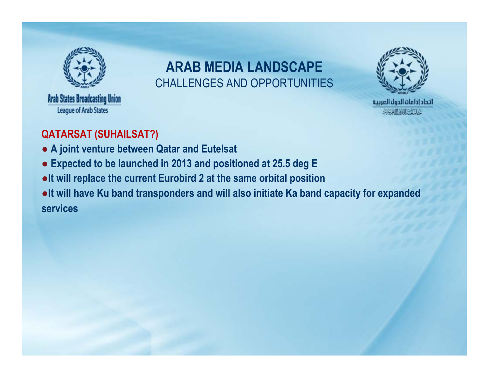

**Arab States Broadcasting Union** 

**League of Arab States** 

### **ARAB MEDIA LANDSCAPE**CHALLENGES AND OPPORTUNITIES



#### **QATARSAT (SUHAILSAT?)**

- **A joint venture between Qatar and Eutelsat**
- **Expected to be launched in 2013 and positioned at 25.5 deg E**
- ●**It will replace the current Eurobird 2 at the same orbital position**
- ●**It will have Ku band transponders and will also initiate Ka band capacity for expanded services**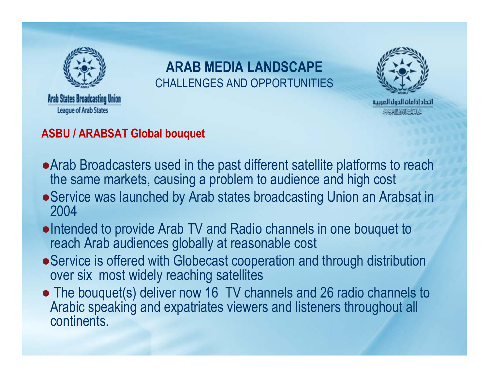

## **ARAB MEDIA LANDSCAPE**CHALLENGES AND OPPORTUNITIES



#### **ASBU / ARABSAT Global bouquet**

- ●Arab Broadcasters used in the past different satellite platforms to reach the same markets, causing a problem to audience and high cost
- Service was launched by Arab states broadcasting Union an Arabsat in 2004
- ●Intended to provide Arab TV and Radio channels in one bouquet to reach Arab audiences globally at reasonable cost
- Service is offered with Globecast cooperation and through distribution over six most widely reaching satellites
- The bouquet(s) deliver now 16 TV channels and 26 radio channels to Arabic speaking and expatriates viewers and listeners throughout all continents.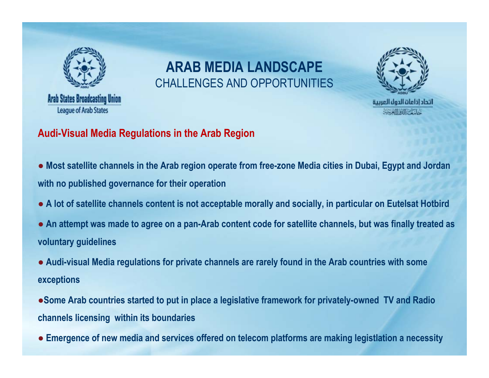

**League of Arab States** 

## **ARAB MEDIA LANDSCAPE**CHALLENGES AND OPPORTUNITIES



#### **Audi-Visual Media Regulations in the Arab Region**

- **Most satellite channels in the Arab region operate from free-zone Media cities in Dubai, Egypt and Jordan with no published governance for their operation**
- **A lot of satellite channels content is not acceptable morally and socially, in particular on Eutelsat Hotbird**
- **An attempt was made to agree on a pan-Arab content code for satellite channels, but was finally treated as voluntary guidelines**
- **Audi-visual Media regulations for private channels are rarely found in the Arab countries with some exceptions**
- ●**Some Arab countries started to put in place a legislative framework for privately-owned TV and Radio channels licensing within its boundaries**
- **Emergence of new media and services offered on telecom platforms are making legistlation a necessity**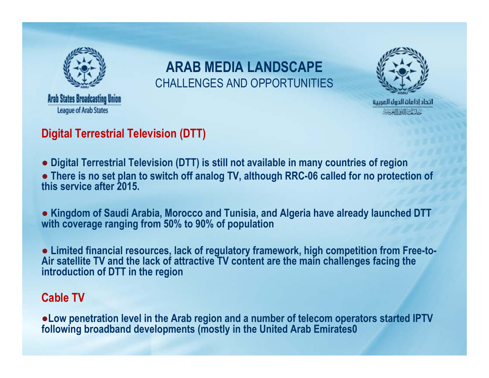

## **ARAB MEDIA LANDSCAPE**CHALLENGES AND OPPORTUNITIES



#### **Digital Terrestrial Television (DTT)**

● **Digital Terrestrial Television (DTT) is still not available in many countries of region** 

● **There is no set plan to switch off analog TV, although RRC-06 called for no protection of this service after 2015.** 

● **Kingdom of Saudi Arabia, Morocco and Tunisia, and Algeria have already launched DTT with coverage ranging from 50% to 90% of population** 

● **Limited financial resources, lack of regulatory framework, high competition from Free-to-Air satellite TV and the lack of attractive TV content are the main challenges facing the introduction of DTT in the region**

#### **Cable TV**

●**Low penetration level in the Arab region and a number of telecom operators started IPTV following broadband developments (mostly in the United Arab Emirates0**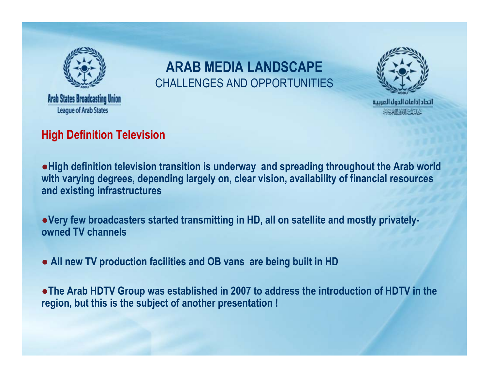

## **ARAB MEDIA LANDSCAPE**CHALLENGES AND OPPORTUNITIES



#### **High Definition Television**

●**High definition television transition is underway and spreading throughout the Arab world with varying degrees, depending largely on, clear vision, availability of financial resources and existing infrastructures**

●**Very few broadcasters started transmitting in HD, all on satellite and mostly privatelyowned TV channels**

● **All new TV production facilities and OB vans are being built in HD** 

●**The Arab HDTV Group was established in 2007 to address the introduction of HDTV in the region, but this is the subject of another presentation !**